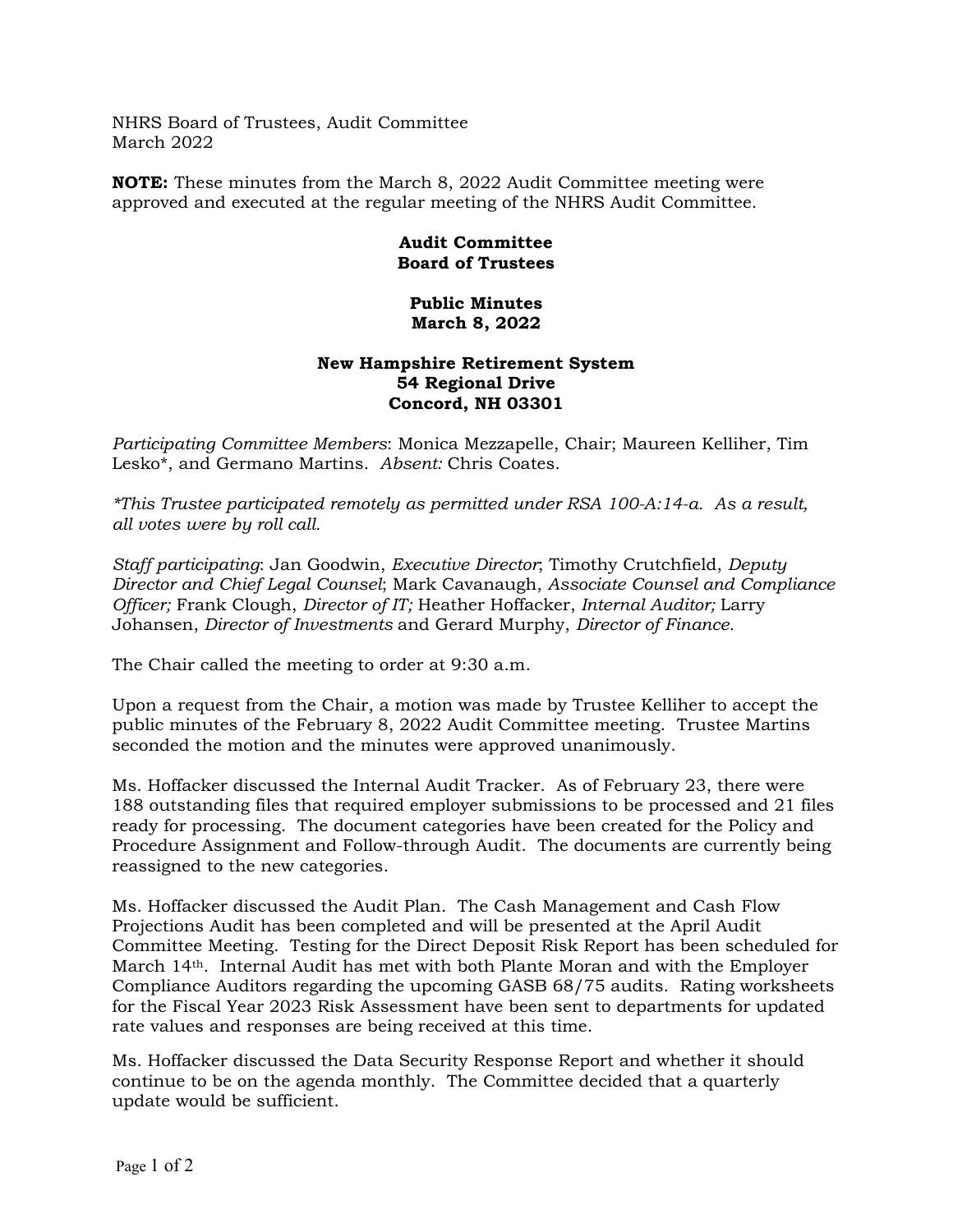NHRS Board of Trustees, Audit Committee March 2022

**NOTE:** These minutes from the March 8, 2022 Audit Committee meeting were approved and executed at the regular meeting of the NHRS Audit Committee.

## **Audit Committee Board of Trustees**

## **Public Minutes March 8, 2022**

## **New Hampshire Retirement System 54 Regional Drive Concord, NH 03301**

*Participating Committee Members*: Monica Mezzapelle, Chair; Maureen Kelliher, Tim Lesko\*, and Germano Martins. *Absent:* Chris Coates.

*\*This Trustee participated remotely as permitted under RSA 100-A:14-a. As a result, all votes were by roll call.* 

*Staff participating*: Jan Goodwin, *Executive Director*; Timothy Crutchfield, *Deputy Director and Chief Legal Counsel*; Mark Cavanaugh, *Associate Counsel and Compliance Officer;* Frank Clough, *Director of IT;* Heather Hoffacker, *Internal Auditor;* Larry Johansen, *Director of Investments* and Gerard Murphy, *Director of Finance.* 

The Chair called the meeting to order at 9:30 a.m.

Upon a request from the Chair, a motion was made by Trustee Kelliher to accept the public minutes of the February 8, 2022 Audit Committee meeting. Trustee Martins seconded the motion and the minutes were approved unanimously.

Ms. Hoffacker discussed the Internal Audit Tracker. As of February 23, there were 188 outstanding files that required employer submissions to be processed and 21 files ready for processing. The document categories have been created for the Policy and Procedure Assignment and Follow-through Audit. The documents are currently being reassigned to the new categories.

Ms. Hoffacker discussed the Audit Plan. The Cash Management and Cash Flow Projections Audit has been completed and will be presented at the April Audit Committee Meeting. Testing for the Direct Deposit Risk Report has been scheduled for March 14th. Internal Audit has met with both Plante Moran and with the Employer Compliance Auditors regarding the upcoming GASB 68/75 audits. Rating worksheets for the Fiscal Year 2023 Risk Assessment have been sent to departments for updated rate values and responses are being received at this time.

Ms. Hoffacker discussed the Data Security Response Report and whether it should continue to be on the agenda monthly. The Committee decided that a quarterly update would be sufficient.